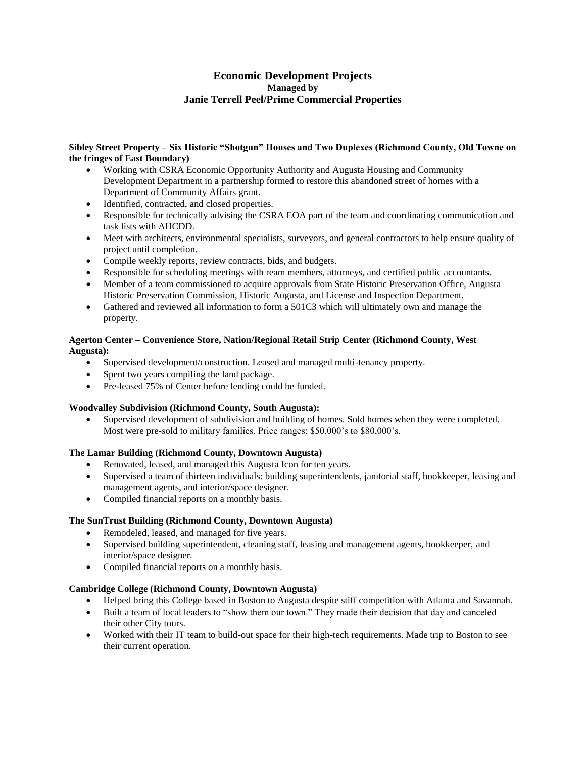# **Economic Development Projects Managed by Janie Terrell Peel/Prime Commercial Properties**

# **Sibley Street Property – Six Historic "Shotgun" Houses and Two Duplexes (Richmond County, Old Towne on the fringes of East Boundary)**

- Working with CSRA Economic Opportunity Authority and Augusta Housing and Community Development Department in a partnership formed to restore this abandoned street of homes with a Department of Community Affairs grant.
- Identified, contracted, and closed properties.
- Responsible for technically advising the CSRA EOA part of the team and coordinating communication and task lists with AHCDD.
- Meet with architects, environmental specialists, surveyors, and general contractors to help ensure quality of project until completion.
- Compile weekly reports, review contracts, bids, and budgets.
- Responsible for scheduling meetings with ream members, attorneys, and certified public accountants.
- Member of a team commissioned to acquire approvals from State Historic Preservation Office, Augusta Historic Preservation Commission, Historic Augusta, and License and Inspection Department.
- Gathered and reviewed all information to form a 501C3 which will ultimately own and manage the property.

# **Agerton Center – Convenience Store, Nation/Regional Retail Strip Center (Richmond County, West Augusta):**

- Supervised development/construction. Leased and managed multi-tenancy property.
- Spent two years compiling the land package.
- Pre-leased 75% of Center before lending could be funded.

# **Woodvalley Subdivision (Richmond County, South Augusta):**

• Supervised development of subdivision and building of homes. Sold homes when they were completed. Most were pre-sold to military families. Price ranges: \$50,000's to \$80,000's.

# **The Lamar Building (Richmond County, Downtown Augusta)**

- Renovated, leased, and managed this Augusta Icon for ten years.
- Supervised a team of thirteen individuals: building superintendents, janitorial staff, bookkeeper, leasing and management agents, and interior/space designer.
- Compiled financial reports on a monthly basis.

# **The SunTrust Building (Richmond County, Downtown Augusta)**

- Remodeled, leased, and managed for five years.
- Supervised building superintendent, cleaning staff, leasing and management agents, bookkeeper, and interior/space designer.
- Compiled financial reports on a monthly basis.

# **Cambridge College (Richmond County, Downtown Augusta)**

- Helped bring this College based in Boston to Augusta despite stiff competition with Atlanta and Savannah.
- Built a team of local leaders to "show them our town." They made their decision that day and canceled their other City tours.
- Worked with their IT team to build-out space for their high-tech requirements. Made trip to Boston to see their current operation.